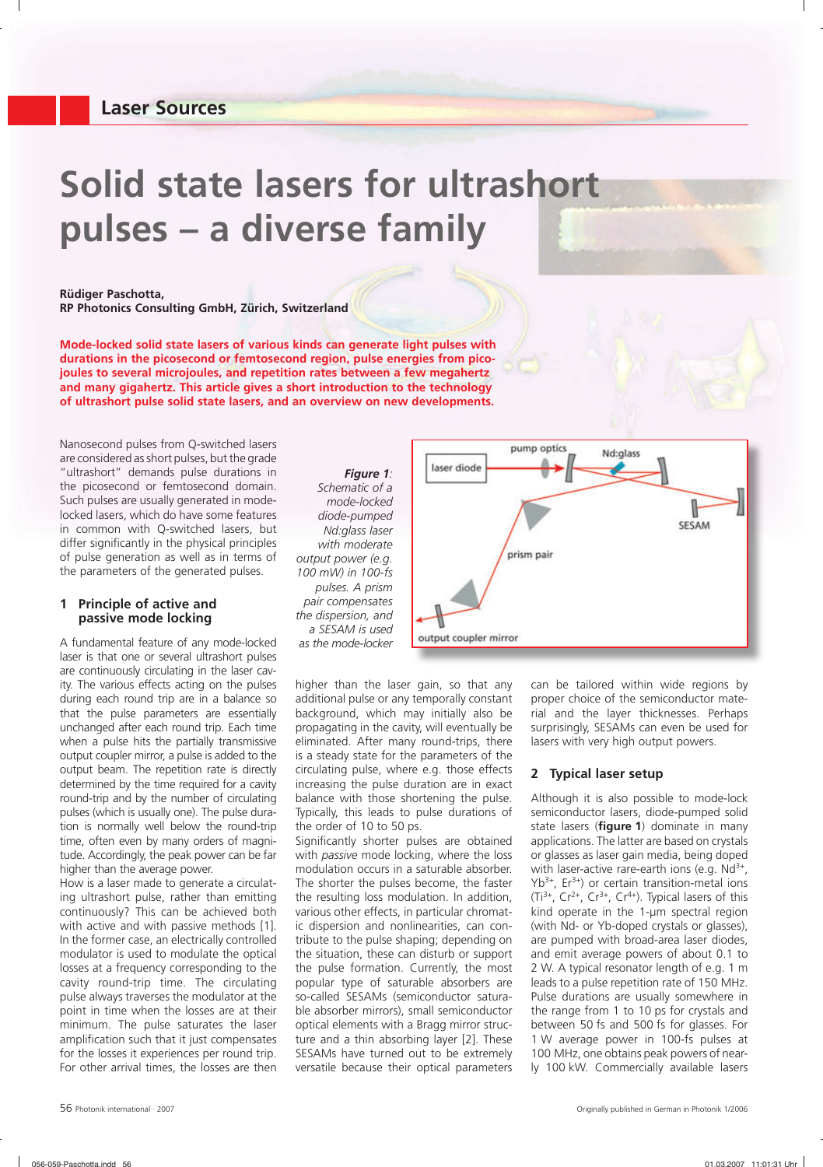# **Laser Sources**

# **Solid state lasers for ultrashort pulses – a diverse family**



**Mode-locked solid state lasers of various kinds can generate light pulses with durations in the picosecond or femtosecond region, pulse energies from picojoules to several microjoules, and repetition rates between a few megahertz and many gigahertz. This article gives a short introduction to the technology of ultrashort pulse solid state lasers, and an overview on new developments.**

Nanosecond pulses from Q-switched lasers are considered as short pulses, but the grade "ultrashort" demands pulse durations in the picosecond or femtosecond domain. Such pulses are usually generated in modelocked lasers, which do have some features in common with Q-switched lasers, but differ significantly in the physical principles of pulse generation as well as in terms of the parameters of the generated pulses.

#### **1 Principle of active and passive mode locking**

A fundamental feature of any mode-locked laser is that one or several ultrashort pulses are continuously circulating in the laser cavity. The various effects acting on the pulses during each round trip are in a balance so that the pulse parameters are essentially unchanged after each round trip. Each time when a pulse hits the partially transmissive output coupler mirror, a pulse is added to the output beam. The repetition rate is directly determined by the time required for a cavity round-trip and by the number of circulating pulses (which is usually one). The pulse duration is normally well below the round-trip time, often even by many orders of magnitude. Accordingly, the peak power can be far higher than the average power.

How is a laser made to generate a circulating ultrashort pulse, rather than emitting continuously? This can be achieved both with active and with passive methods [1]. In the former case, an electrically controlled modulator is used to modulate the optical losses at a frequency corresponding to the cavity round-trip time. The circulating pulse always traverses the modulator at the point in time when the losses are at their minimum. The pulse saturates the laser amplification such that it just compensates for the losses it experiences per round trip. For other arrival times, the losses are then

*Figure 1: Schematic of a mode-locked diode-pumped Nd: glass laser with moderate output power (e.g. 100 mW) in 100-fs pulses. A prism pair compensates the dispersion, and a SESAM is used as the mode-locker*



higher than the laser gain, so that any additional pulse or any temporally constant background, which may initially also be propagating in the cavity, will eventually be eliminated. After many round-trips, there is a steady state for the parameters of the circulating pulse, where e.g. those effects increasing the pulse duration are in exact balance with those shortening the pulse. Typically, this leads to pulse durations of the order of 10 to 50 ps.

Significantly shorter pulses are obtained with *passive* mode locking, where the loss modulation occurs in a saturable absorber. The shorter the pulses become, the faster the resulting loss modulation. In addition, various other effects, in particular chromatic dispersion and nonlinearities, can contribute to the pulse shaping; depending on the situation, these can disturb or support the pulse formation. Currently, the most popular type of saturable absorbers are so-called SESAMs (semiconductor saturable absorber mirrors), small semiconductor optical elements with a Bragg mirror structure and a thin absorbing layer [2]. These SESAMs have turned out to be extremely versatile because their optical parameters can be tailored within wide regions by proper choice of the semiconductor material and the layer thicknesses. Perhaps surprisingly, SESAMs can even be used for lasers with very high output powers.

# **2 Typical laser setup**

Although it is also possible to mode-lock semiconductor lasers, diode-pumped solid state lasers (**figure 1**) dominate in many applications. The latter are based on crystals or glasses as laser gain media, being doped with laser-active rare-earth ions (e.g.  $Nd^{3+}$ ,  $Yb^{3+}$ , Er<sup>3+</sup>) or certain transition-metal ions  $(Ti^{3+}, Cr^{2+}, Cr^{3+}, Cr^{4+})$ . Typical lasers of this kind operate in the 1-µm spectral region (with Nd- or Yb-doped crystals or glasses), are pumped with broad-area laser diodes, and emit average powers of about 0.1 to 2 W. A typical resonator length of e.g. 1 m leads to a pulse repetition rate of 150 MHz. Pulse durations are usually somewhere in the range from 1 to 10 ps for crystals and between 50 fs and 500 fs for glasses. For 1 W average power in 100-fs pulses at 100 MHz, one obtains peak powers of nearly 100 kW. Commercially available lasers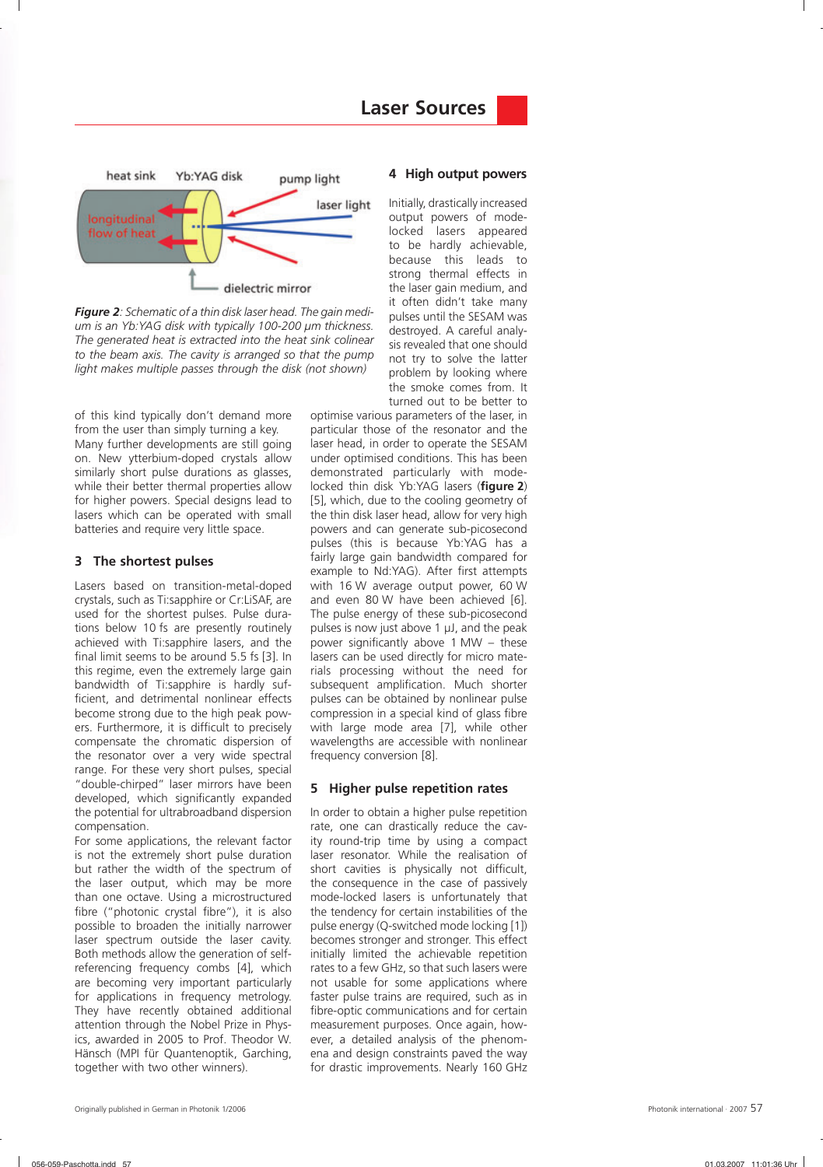

*Figure 2: Schematic of a thin disk laser head. The gain medium is an Yb:YAG disk with typically 100-200 µm thickness. The generated heat is extracted into the heat sink colinear to the beam axis. The cavity is arranged so that the pump light makes multiple passes through the disk (not shown)*

of this kind typically don't demand more from the user than simply turning a key. Many further developments are still going on. New ytterbium-doped crystals allow similarly short pulse durations as glasses, while their better thermal properties allow for higher powers. Special designs lead to lasers which can be operated with small batteries and require very little space.

### **3 The shortest pulses**

Lasers based on transition-metal-doped crystals, such as Ti:sapphire or Cr:LiSAF, are used for the shortest pulses. Pulse durations below 10 fs are presently routinely achieved with Ti:sapphire lasers, and the final limit seems to be around 5.5 fs [3]. In this regime, even the extremely large gain bandwidth of Ti:sapphire is hardly sufficient, and detrimental nonlinear effects become strong due to the high peak powers. Furthermore, it is difficult to precisely compensate the chromatic dispersion of the resonator over a very wide spectral range. For these very short pulses, special "double-chirped" laser mirrors have been developed, which significantly expanded the potential for ultrabroadband dispersion compensation.

For some applications, the relevant factor is not the extremely short pulse duration but rather the width of the spectrum of the laser output, which may be more than one octave. Using a microstructured fibre ("photonic crystal fibre"), it is also possible to broaden the initially narrower laser spectrum outside the laser cavity. Both methods allow the generation of selfreferencing frequency combs [4], which are becoming very important particularly for applications in frequency metrology. They have recently obtained additional attention through the Nobel Prize in Physics, awarded in 2005 to Prof. Theodor W. Hänsch (MPI für Quantenoptik, Garching, together with two other winners).

#### **4 High output powers**

Initially, drastically increased output powers of modelocked lasers appeared to be hardly achievable, because this leads to strong thermal effects in the laser gain medium, and it often didn't take many pulses until the SESAM was destroyed. A careful analysis revealed that one should not try to solve the latter problem by looking where the smoke comes from. It turned out to be better to

optimise various parameters of the laser, in particular those of the resonator and the laser head, in order to operate the SESAM under optimised conditions. This has been demonstrated particularly with modelocked thin disk Yb:YAG lasers (figure 2) [5], which, due to the cooling geometry of the thin disk laser head, allow for very high powers and can generate sub-picosecond pulses (this is because Yb:YAG has a fairly large gain bandwidth compared for example to Nd:YAG). After first attempts with 16 W average output power, 60 W and even 80 W have been achieved [6]. The pulse energy of these sub-picosecond pulses is now just above 1 µJ, and the peak power significantly above  $1$  MW – these lasers can be used directly for micro materials processing without the need for subsequent amplification. Much shorter pulses can be obtained by nonlinear pulse compression in a special kind of glass fibre with large mode area [7], while other wavelengths are accessible with nonlinear frequency conversion [8].

#### **5 Higher pulse repetition rates**

In order to obtain a higher pulse repetition rate, one can drastically reduce the cavity round-trip time by using a compact laser resonator. While the realisation of short cavities is physically not difficult, the consequence in the case of passively mode-locked lasers is unfortunately that the tendency for certain instabilities of the pulse energy (Q-switched mode locking [1]) becomes stronger and stronger. This effect initially limited the achievable repetition rates to a few GHz, so that such lasers were not usable for some applications where faster pulse trains are required, such as in fibre-optic communications and for certain measurement purposes. Once again, however, a detailed analysis of the phenomena and design constraints paved the way for drastic improvements. Nearly 160 GHz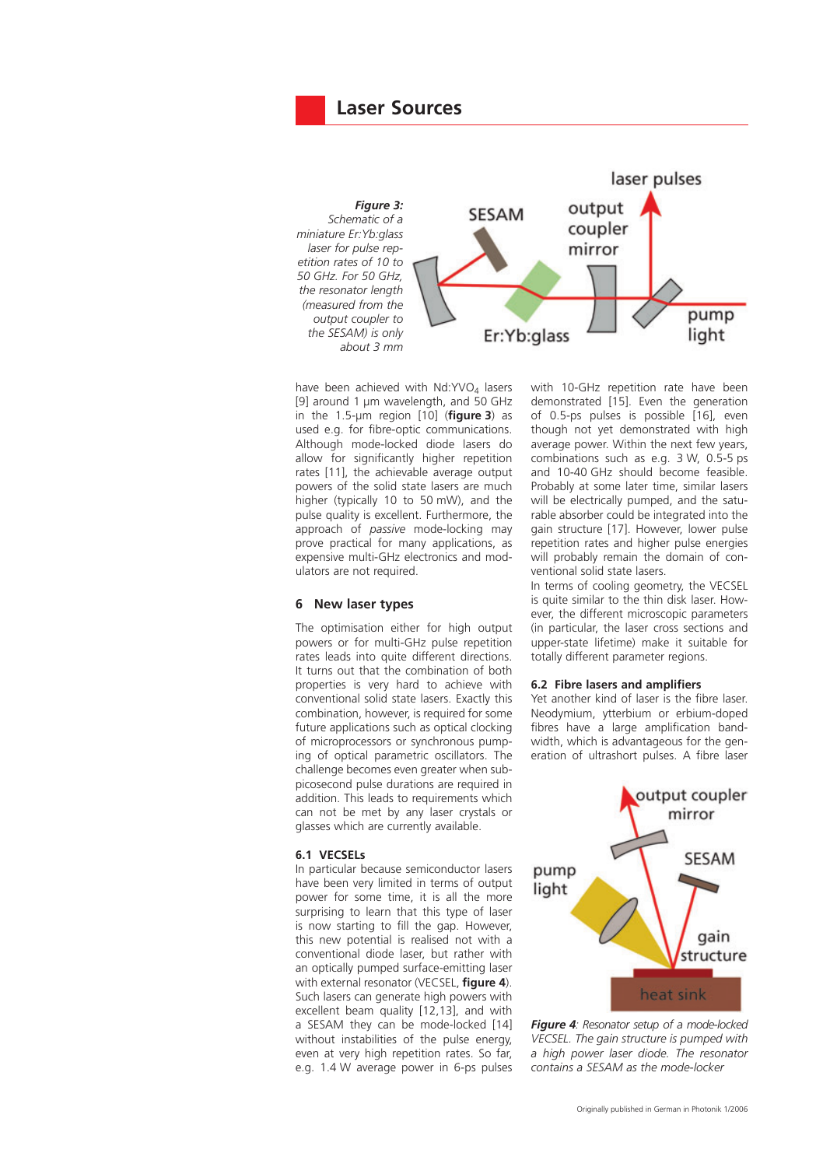



have been achieved with  $Nd:YVO<sub>4</sub>$  lasers [9] around 1 µm wavelength, and 50 GHz in the  $1.5$ -µm region  $[10]$  (**figure 3**) as used e.g. for fibre-optic communications. Although mode-locked diode lasers do allow for significantly higher repetition rates [11], the achievable average output powers of the solid state lasers are much higher (typically 10 to 50 mW), and the pulse quality is excellent. Furthermore, the approach of *passive* mode-locking may prove practical for many applications, as expensive multi-GHz electronics and modulators are not required.

## **6 New laser types**

The optimisation either for high output powers or for multi-GHz pulse repetition rates leads into quite different directions. It turns out that the combination of both properties is very hard to achieve with conventional solid state lasers. Exactly this combination, however, is required for some future applications such as optical clocking of microprocessors or synchronous pumping of optical parametric oscillators. The challenge becomes even greater when subpicosecond pulse durations are required in addition. This leads to requirements which can not be met by any laser crystals or glasses which are currently available.

## **6.1 VECSELs**

In particular because semiconductor lasers have been very limited in terms of output power for some time, it is all the more surprising to learn that this type of laser is now starting to fill the gap. However, this new potential is realised not with a conventional diode laser, but rather with an optically pumped surface-emitting laser with external resonator (VECSEL, **figure 4**). Such lasers can generate high powers with excellent beam quality [12,13], and with a SESAM they can be mode-locked [14] without instabilities of the pulse energy, even at very high repetition rates. So far, e.g. 1.4 W average power in 6-ps pulses with 10-GHz repetition rate have been demonstrated [15]. Even the generation of 0.5-ps pulses is possible [16], even though not yet demonstrated with high average power. Within the next few years, combinations such as e.g. 3 W, 0.5-5 ps and 10-40 GHz should become feasible. Probably at some later time, similar lasers will be electrically pumped, and the saturable absorber could be integrated into the gain structure [17]. However, lower pulse repetition rates and higher pulse energies will probably remain the domain of conventional solid state lasers.

In terms of cooling geometry, the VECSEL is quite similar to the thin disk laser. However, the different microscopic parameters (in particular, the laser cross sections and upper-state lifetime) make it suitable for totally different parameter regions.

#### **6.2 Fibre lasers and amplifiers**

Yet another kind of laser is the fibre laser. Neodymium, ytterbium or erbium-doped fibres have a large amplification bandwidth, which is advantageous for the generation of ultrashort pulses. A fibre laser



*Figure 4: Resonator setup of a mode-locked VECSEL. The gain structure is pumped with a high power laser diode. The resonator contains a SESAM as the mode-locker*